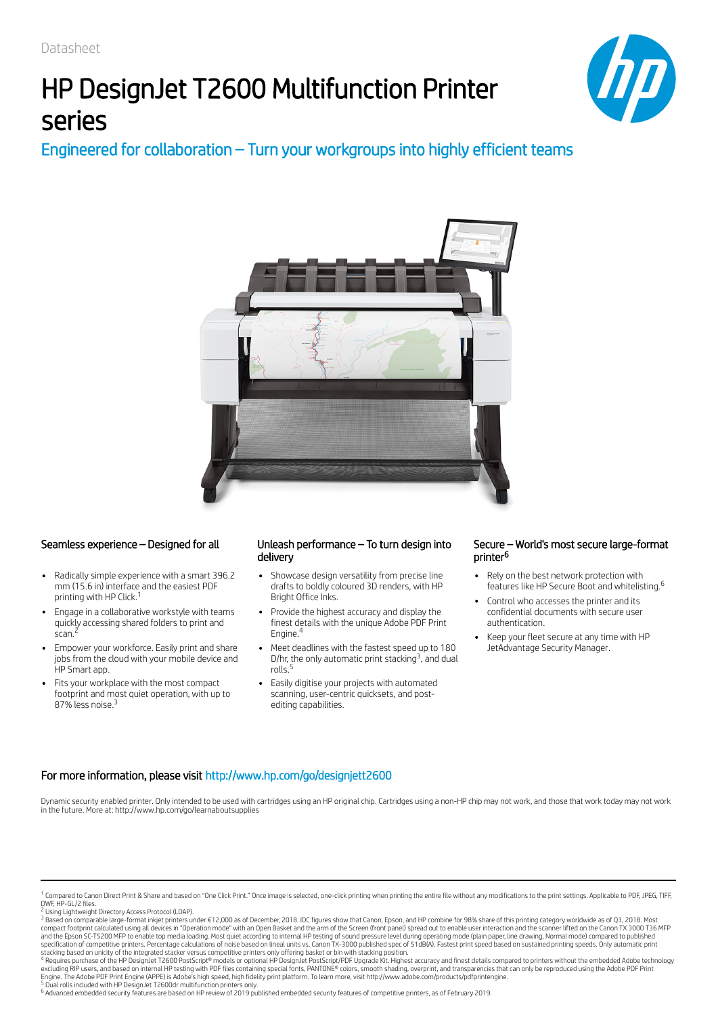# HP DesignJet T2600 Multifunction Printer series



## Engineered for collaboration – Turn your workgroups into highly efficient teams



- Radically simple experience with a smart 396.2 mm (15.6 in) interface and the easiest PDF printing with HP Click. 1
- Engage in a collaborative workstyle with teams quickly accessing shared folders to print and<br>scap <sup>2</sup> scan.
- Empower your workforce. Easily print and share jobs from the cloud with your mobile device and HP Smart app.
- Fits your workplace with the most compact footprint and most quiet operation, with up to 87% less noise.<sup>3</sup>

### Seamless experience – Designed for all Unleash performance – To turn design into delivery

- Showcase design versatility from precise line drafts to boldly coloured 3D renders, with HP Bright Office Inks.
- Provide the highest accuracy and display the finest details with the unique Adobe PDF Print Engine. 4
- Meet deadlines with the fastest speed up to 180 D/hr, the only automatic print stacking<sup>3</sup>, and dual rolls. 5
- Easily digitise your projects with automated scanning, user-centric quicksets, and postediting capabilities.

### Secure – World's most secure large-format printer 6

- Rely on the best network protection with features like HP Secure Boot and whitelisting. 6
- Control who accesses the printer and its confidential documents with secure user authentication.
- Keep your fleet secure at any time with HP JetAdvantage Security Manager.

### For more information, please visit http://www.hp.com/go/designjett2600

Dynamic security enabled printer. Only intended to be used with cartridges using an HP original chip. Cartridges using a non-HP chip may not work, and those that work today may not work in the future. More at: http://www.hp.com/go/learnaboutsupplies

<sup>6</sup> Advanced embedded security features are based on HP review of 2019 published embedded security features of competitive printers, as of February 2019.

<sup>&</sup>lt;sup>1</sup> Compared to Canon Direct Print & Share and based on "One Click Print." Once image is selected, one-click printing when printing the entire file without any modifications to the print settings. Applicable to PDF, JPEG,

<sup>&</sup>lt;sup>2</sup> Using Lightweight Directory Access Protocol (LDAP).<br><sup>3</sup> Based on comparable large-format inkjet printers under €12,000 as of December, 2018. IDC figures show that Canon, Epson, and HP combine for 98% share of this pri compact footprint calculated using all devices in "Operation mode" with an Open Basket and the arm of the Screen (front panel) spread out to enable user interaction and the scanner lifted on the Canon TX 3000 T36 MFP<br>and t

stacking based on unicity of the integrated stacker versus competitive printers only offering basket or bin with stacking position.<br>" Requires purchase of the HP DesignJet T2600 PostScript® models or optional HP DesignJet 4 5